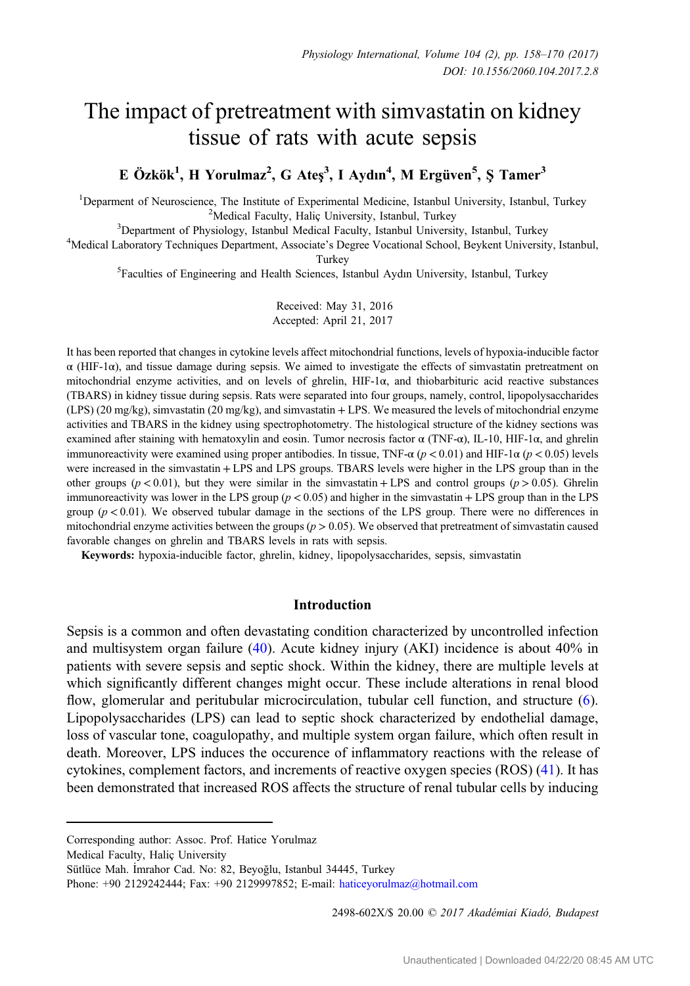# The impact of pretreatment with simvastatin on kidney tissue of rats with acute sepsis

## E Özkök<sup>1</sup>, H Yorulmaz<sup>2</sup>, G Ateş<sup>3</sup>, I Aydın<sup>4</sup>, M Ergüven<sup>5</sup>, Ş Tamer<sup>3</sup>

<sup>1</sup>Deparment of Neuroscience, The Institute of Experimental Medicine, Istanbul University, Istanbul, Turkey <sup>2</sup>Medical Eaculty, Halic University, Istanbul, Turkey  $3$ Department of Physiology, Istanbul Medical Faculty, Istanbul, Turkey  $3$ Department of Physiology, Istanbul Medical Faculty, Istanbul University, Istanbul, Turkey

Department of Physiology, Istanbul Medical Faculty, Istanbul University, Istanbul, Turkey <sup>4</sup> Medical Laboratory Techniques Department, Associate's Degree Vocational School, Beykent University, Istanbul,

Turkey<br><sup>5</sup>Faculties of Engineering and Health Sciences, Istanbul Aydın University, Istanbul, Turkey

Received: May 31, 2016 Accepted: April 21, 2017

It has been reported that changes in cytokine levels affect mitochondrial functions, levels of hypoxia-inducible factor  $\alpha$  (HIF-1 $\alpha$ ), and tissue damage during sepsis. We aimed to investigate the effects of simvastatin pretreatment on mitochondrial enzyme activities, and on levels of ghrelin, HIF-1α, and thiobarbituric acid reactive substances (TBARS) in kidney tissue during sepsis. Rats were separated into four groups, namely, control, lipopolysaccharides  $(LPS)$  (20 mg/kg), simvastatin (20 mg/kg), and simvastatin + LPS. We measured the levels of mitochondrial enzyme activities and TBARS in the kidney using spectrophotometry. The histological structure of the kidney sections was examined after staining with hematoxylin and eosin. Tumor necrosis factor α (TNF-α), IL-10, HIF-1α, and ghrelin immunoreactivity were examined using proper antibodies. In tissue, TNF-α ( $p < 0.01$ ) and HIF-1α ( $p < 0.05$ ) levels were increased in the simvastatin + LPS and LPS groups. TBARS levels were higher in the LPS group than in the other groups ( $p < 0.01$ ), but they were similar in the simvastatin + LPS and control groups ( $p > 0.05$ ). Ghrelin immunoreactivity was lower in the LPS group  $(p < 0.05)$  and higher in the simvastatin + LPS group than in the LPS group  $(p < 0.01)$ . We observed tubular damage in the sections of the LPS group. There were no differences in mitochondrial enzyme activities between the groups  $(p > 0.05)$ . We observed that pretreatment of simvastatin caused favorable changes on ghrelin and TBARS levels in rats with sepsis.

Keywords: hypoxia-inducible factor, ghrelin, kidney, lipopolysaccharides, sepsis, simvastatin

#### Introduction

Sepsis is a common and often devastating condition characterized by uncontrolled infection and multisystem organ failure [\(40](#page-12-0)). Acute kidney injury (AKI) incidence is about 40% in patients with severe sepsis and septic shock. Within the kidney, there are multiple levels at which significantly different changes might occur. These include alterations in renal blood flow, glomerular and peritubular microcirculation, tubular cell function, and structure [\(6](#page-10-0)). Lipopolysaccharides (LPS) can lead to septic shock characterized by endothelial damage, loss of vascular tone, coagulopathy, and multiple system organ failure, which often result in death. Moreover, LPS induces the occurence of inflammatory reactions with the release of cytokines, complement factors, and increments of reactive oxygen species (ROS) [\(41](#page-12-0)). It has been demonstrated that increased ROS affects the structure of renal tubular cells by inducing

2498-602X/\$ 20.00 C 2017 Akadémiai Kiadó, Budapest

Corresponding author: Assoc. Prof. Hatice Yorulmaz

Medical Faculty, Haliç University

Sütlüce Mah. İmrahor Cad. No: 82, Beyoğlu, Istanbul 34445, Turkey

Phone: +90 2129242444; Fax: +90 2129997852; E-mail: [haticeyorulmaz@hotmail.com](mailto:haticeyorulmaz@hotmail.com)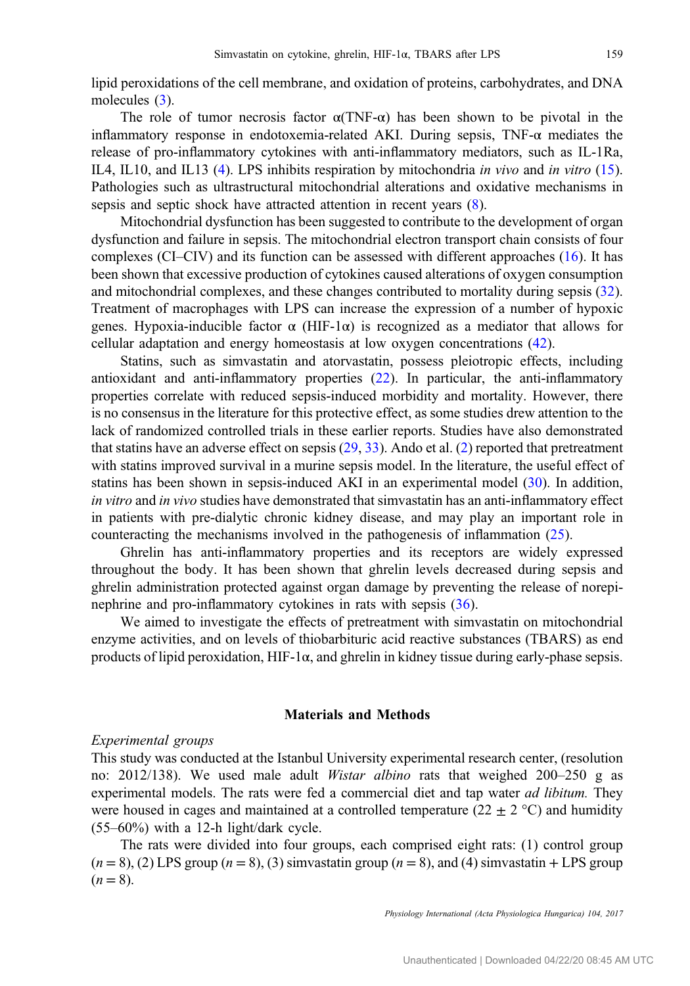lipid peroxidations of the cell membrane, and oxidation of proteins, carbohydrates, and DNA molecules ([3\)](#page-10-0).

The role of tumor necrosis factor  $\alpha(TNF-\alpha)$  has been shown to be pivotal in the inflammatory response in endotoxemia-related AKI. During sepsis,  $TNF-\alpha$  mediates the release of pro-inflammatory cytokines with anti-inflammatory mediators, such as IL-1Ra, IL4, IL10, and IL13 [\(4](#page-10-0)). LPS inhibits respiration by mitochondria in vivo and in vitro [\(15](#page-11-0)). Pathologies such as ultrastructural mitochondrial alterations and oxidative mechanisms in sepsis and septic shock have attracted attention in recent years ([8\)](#page-10-0).

Mitochondrial dysfunction has been suggested to contribute to the development of organ dysfunction and failure in sepsis. The mitochondrial electron transport chain consists of four complexes (CI–CIV) and its function can be assessed with different approaches [\(16](#page-11-0)). It has been shown that excessive production of cytokines caused alterations of oxygen consumption and mitochondrial complexes, and these changes contributed to mortality during sepsis [\(32](#page-11-0)). Treatment of macrophages with LPS can increase the expression of a number of hypoxic genes. Hypoxia-inducible factor  $\alpha$  (HIF-1 $\alpha$ ) is recognized as a mediator that allows for cellular adaptation and energy homeostasis at low oxygen concentrations ([42\)](#page-12-0).

Statins, such as simvastatin and atorvastatin, possess pleiotropic effects, including antioxidant and anti-inflammatory properties [\(22](#page-11-0)). In particular, the anti-inflammatory properties correlate with reduced sepsis-induced morbidity and mortality. However, there is no consensus in the literature for this protective effect, as some studies drew attention to the lack of randomized controlled trials in these earlier reports. Studies have also demonstrated that statins have an adverse effect on sepsis [\(29](#page-11-0), [33\)](#page-11-0). Ando et al. ([2\)](#page-10-0) reported that pretreatment with statins improved survival in a murine sepsis model. In the literature, the useful effect of statins has been shown in sepsis-induced AKI in an experimental model [\(30](#page-11-0)). In addition, in vitro and in vivo studies have demonstrated that simvastatin has an anti-inflammatory effect in patients with pre-dialytic chronic kidney disease, and may play an important role in counteracting the mechanisms involved in the pathogenesis of inflammation ([25\)](#page-11-0).

Ghrelin has anti-inflammatory properties and its receptors are widely expressed throughout the body. It has been shown that ghrelin levels decreased during sepsis and ghrelin administration protected against organ damage by preventing the release of norepinephrine and pro-inflammatory cytokines in rats with sepsis [\(36](#page-12-0)).

We aimed to investigate the effects of pretreatment with simvastatin on mitochondrial enzyme activities, and on levels of thiobarbituric acid reactive substances (TBARS) as end products of lipid peroxidation, HIF-1 $\alpha$ , and ghrelin in kidney tissue during early-phase sepsis.

#### Materials and Methods

#### Experimental groups

This study was conducted at the Istanbul University experimental research center, (resolution no: 2012/138). We used male adult *Wistar albino* rats that weighed 200–250 g as experimental models. The rats were fed a commercial diet and tap water *ad libitum*. They were housed in cages and maintained at a controlled temperature ( $22 \pm 2$  °C) and humidity (55–60%) with a 12-h light/dark cycle.

The rats were divided into four groups, each comprised eight rats: (1) control group  $(n = 8)$ , (2) LPS group  $(n = 8)$ , (3) simvastatin group  $(n = 8)$ , and (4) simvastatin + LPS group  $(n = 8)$ .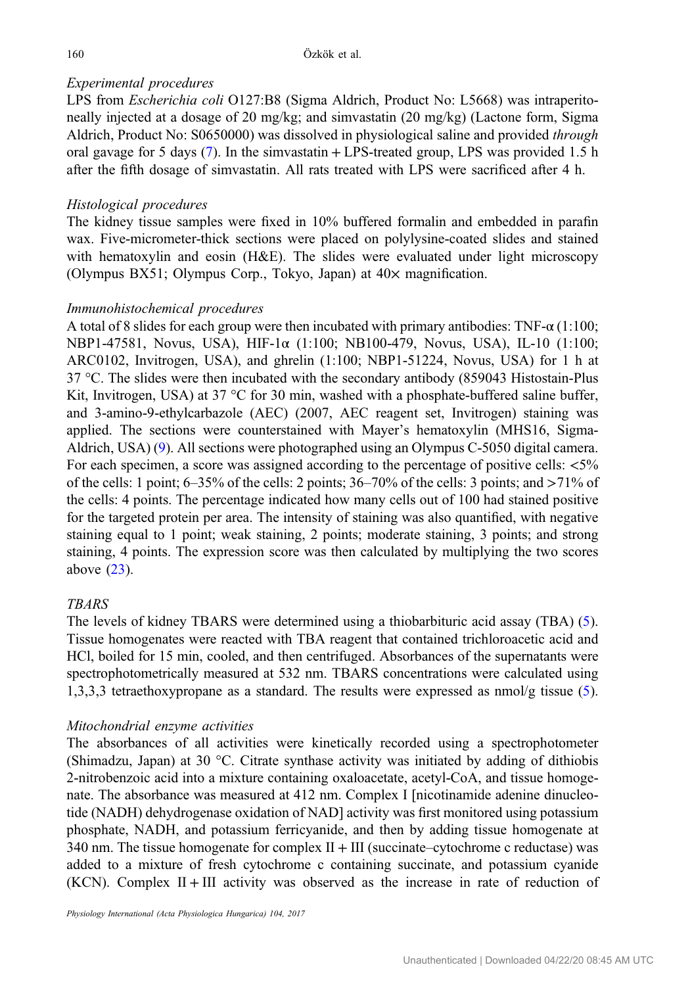## Experimental procedures

LPS from Escherichia coli O127:B8 (Sigma Aldrich, Product No: L5668) was intraperitoneally injected at a dosage of 20 mg/kg; and simvastatin (20 mg/kg) (Lactone form, Sigma Aldrich, Product No: S0650000) was dissolved in physiological saline and provided through oral gavage for 5 days ([7\)](#page-10-0). In the simvastatin + LPS-treated group, LPS was provided 1.5 h after the fifth dosage of simvastatin. All rats treated with LPS were sacrificed after 4 h.

## Histological procedures

The kidney tissue samples were fixed in 10% buffered formalin and embedded in parafin wax. Five-micrometer-thick sections were placed on polylysine-coated slides and stained with hematoxylin and eosin (H&E). The slides were evaluated under light microscopy (Olympus BX51; Olympus Corp., Tokyo, Japan) at 40× magnification.

## Immunohistochemical procedures

A total of 8 slides for each group were then incubated with primary antibodies: TNF- $\alpha$  (1:100; NBP1-47581, Novus, USA), HIF-1α (1:100; NB100-479, Novus, USA), IL-10 (1:100; ARC0102, Invitrogen, USA), and ghrelin (1:100; NBP1-51224, Novus, USA) for 1 h at 37 °C. The slides were then incubated with the secondary antibody (859043 Histostain-Plus Kit, Invitrogen, USA) at 37 °C for 30 min, washed with a phosphate-buffered saline buffer, and 3-amino-9-ethylcarbazole (AEC) (2007, AEC reagent set, Invitrogen) staining was applied. The sections were counterstained with Mayer's hematoxylin (MHS16, Sigma-Aldrich, USA) [\(9](#page-10-0)). All sections were photographed using an Olympus C-5050 digital camera. For each specimen, a score was assigned according to the percentage of positive cells:  $\langle 5\%$ of the cells: 1 point;  $6-35\%$  of the cells: 2 points;  $36-70\%$  of the cells: 3 points; and  $>71\%$  of the cells: 4 points. The percentage indicated how many cells out of 100 had stained positive for the targeted protein per area. The intensity of staining was also quantified, with negative staining equal to 1 point; weak staining, 2 points; moderate staining, 3 points; and strong staining, 4 points. The expression score was then calculated by multiplying the two scores above [\(23\)](#page-11-0).

## **TRARS**

The levels of kidney TBARS were determined using a thiobarbituric acid assay (TBA) [\(5](#page-10-0)). Tissue homogenates were reacted with TBA reagent that contained trichloroacetic acid and HCl, boiled for 15 min, cooled, and then centrifuged. Absorbances of the supernatants were spectrophotometrically measured at 532 nm. TBARS concentrations were calculated using 1,3,3,3 tetraethoxypropane as a standard. The results were expressed as nmol/g tissue [\(5](#page-10-0)).

### Mitochondrial enzyme activities

The absorbances of all activities were kinetically recorded using a spectrophotometer (Shimadzu, Japan) at 30 °C. Citrate synthase activity was initiated by adding of dithiobis 2-nitrobenzoic acid into a mixture containing oxaloacetate, acetyl-CoA, and tissue homogenate. The absorbance was measured at 412 nm. Complex I [nicotinamide adenine dinucleotide (NADH) dehydrogenase oxidation of NAD] activity was first monitored using potassium phosphate, NADH, and potassium ferricyanide, and then by adding tissue homogenate at 340 nm. The tissue homogenate for complex  $II + III$  (succinate–cytochrome c reductase) was added to a mixture of fresh cytochrome c containing succinate, and potassium cyanide  $(KCN)$ . Complex II + III activity was observed as the increase in rate of reduction of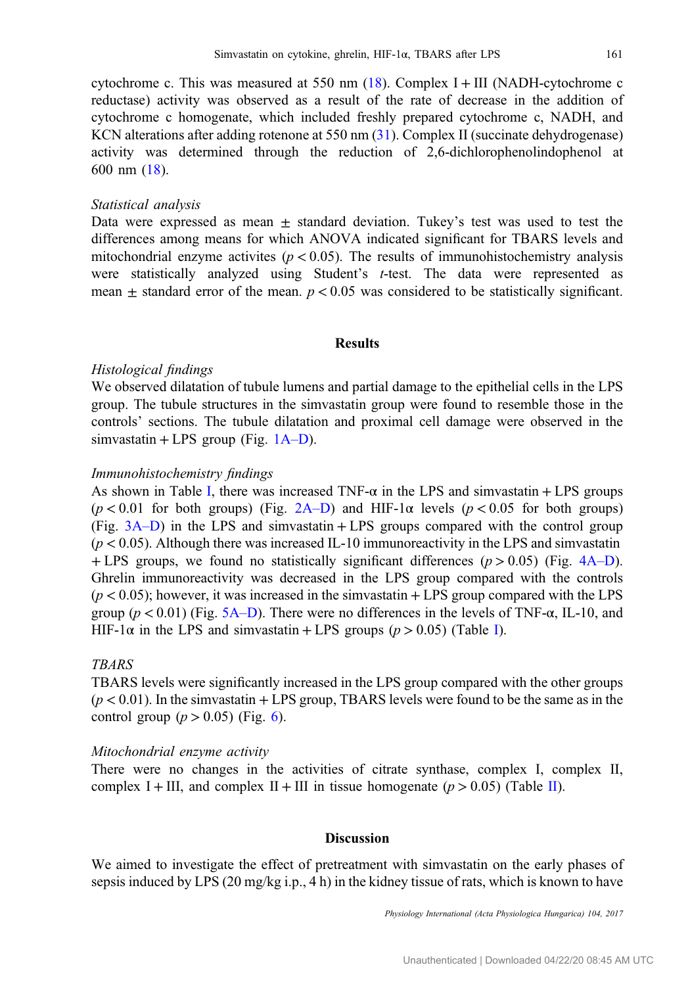cytochrome c. This was measured at 550 nm  $(18)$  $(18)$ . Complex I + III (NADH-cytochrome c reductase) activity was observed as a result of the rate of decrease in the addition of cytochrome c homogenate, which included freshly prepared cytochrome c, NADH, and KCN alterations after adding rotenone at 550 nm ([31\)](#page-11-0). Complex II (succinate dehydrogenase) activity was determined through the reduction of 2,6-dichlorophenolindophenol at 600 nm ([18](#page-11-0)).

#### Statistical analysis

Data were expressed as mean  $\pm$  standard deviation. Tukey's test was used to test the differences among means for which ANOVA indicated significant for TBARS levels and mitochondrial enzyme activites ( $p < 0.05$ ). The results of immunohistochemistry analysis were statistically analyzed using Student's t-test. The data were represented as mean  $\pm$  standard error of the mean.  $p < 0.05$  was considered to be statistically significant.

#### Results

#### Histological findings

We observed dilatation of tubule lumens and partial damage to the epithelial cells in the LPS group. The tubule structures in the simvastatin group were found to resemble those in the controls' sections. The tubule dilatation and proximal cell damage were observed in the simvastatin + LPS group (Fig.  $1A-D$  $1A-D$ ).

#### Immunohistochemistry findings

As shown in Table [I,](#page-5-0) there was increased  $TNF-\alpha$  in the LPS and simvastatin + LPS groups  $(p < 0.01$  for both groups) (Fig. [2A](#page-6-0)–D) and HIF-1 $\alpha$  levels ( $p < 0.05$  for both groups) (Fig. [3A](#page-7-0)–D) in the LPS and simvastatin + LPS groups compared with the control group  $(p < 0.05)$ . Although there was increased IL-10 immunoreactivity in the LPS and simvastatin + LPS groups, we found no statistically significant differences  $(p > 0.05)$  (Fig. [4A](#page-8-0)–D). Ghrelin immunoreactivity was decreased in the LPS group compared with the controls  $(p < 0.05)$ ; however, it was increased in the simvastatin  $+$  LPS group compared with the LPS group ( $p < 0.01$ ) (Fig. [5A](#page-9-0)–D). There were no differences in the levels of TNF- $\alpha$ , IL-10, and H[I](#page-5-0)F-1 $\alpha$  in the LPS and simvastatin + LPS groups ( $p > 0.05$ ) (Table I).

#### **TBARS**

TBARS levels were significantly increased in the LPS group compared with the other groups  $(p < 0.01)$ . In the simvastatin + LPS group, TBARS levels were found to be the same as in the control group  $(p > 0.05)$  (Fig. [6](#page-9-0)).

#### Mitochondrial enzyme activity

There were no changes in the activities of citrate synthase, complex I, complex II, complex I + III, and complex II + III in tissue homogenate ( $p > 0.05$ ) (Table [II\)](#page-10-0).

#### **Discussion**

We aimed to investigate the effect of pretreatment with simvastatin on the early phases of sepsis induced by LPS (20 mg/kg i.p., 4 h) in the kidney tissue of rats, which is known to have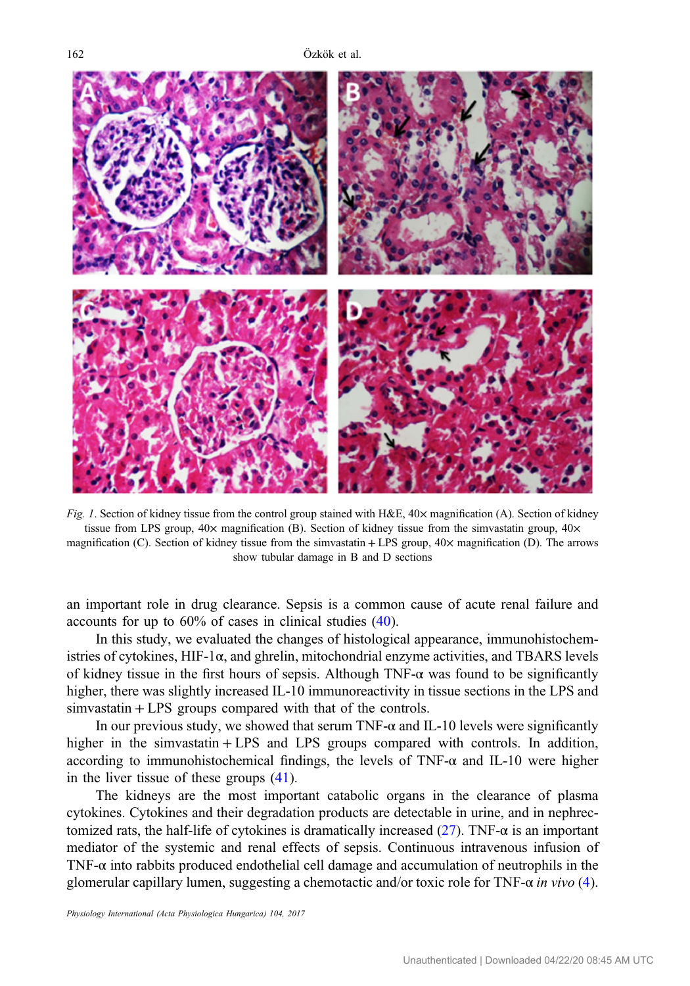<span id="page-4-0"></span>

Fig. 1. Section of kidney tissue from the control group stained with  $H\&E$ ,  $40\times$  magnification (A). Section of kidney tissue from LPS group,  $40 \times$  magnification (B). Section of kidney tissue from the simvastatin group,  $40 \times$ magnification (C). Section of kidney tissue from the simvastatin + LPS group, 40× magnification (D). The arrows show tubular damage in B and D sections

an important role in drug clearance. Sepsis is a common cause of acute renal failure and accounts for up to 60% of cases in clinical studies ([40\)](#page-12-0).

In this study, we evaluated the changes of histological appearance, immunohistochemistries of cytokines,  $HIF-1\alpha$ , and ghrelin, mitochondrial enzyme activities, and TBARS levels of kidney tissue in the first hours of sepsis. Although  $TNF-\alpha$  was found to be significantly higher, there was slightly increased IL-10 immunoreactivity in tissue sections in the LPS and simvastatin + LPS groups compared with that of the controls.

In our previous study, we showed that serum TNF- $\alpha$  and IL-10 levels were significantly higher in the simvastatin + LPS and LPS groups compared with controls. In addition, according to immunohistochemical findings, the levels of TNF- $\alpha$  and IL-10 were higher in the liver tissue of these groups ([41\)](#page-12-0).

The kidneys are the most important catabolic organs in the clearance of plasma cytokines. Cytokines and their degradation products are detectable in urine, and in nephrectomized rats, the half-life of cytokines is dramatically increased  $(27)$  $(27)$ . TNF- $\alpha$  is an important mediator of the systemic and renal effects of sepsis. Continuous intravenous infusion of TNF-α into rabbits produced endothelial cell damage and accumulation of neutrophils in the glomerular capillary lumen, suggesting a chemotactic and/or toxic role for TNF- $\alpha$  in vivo [\(4](#page-10-0)).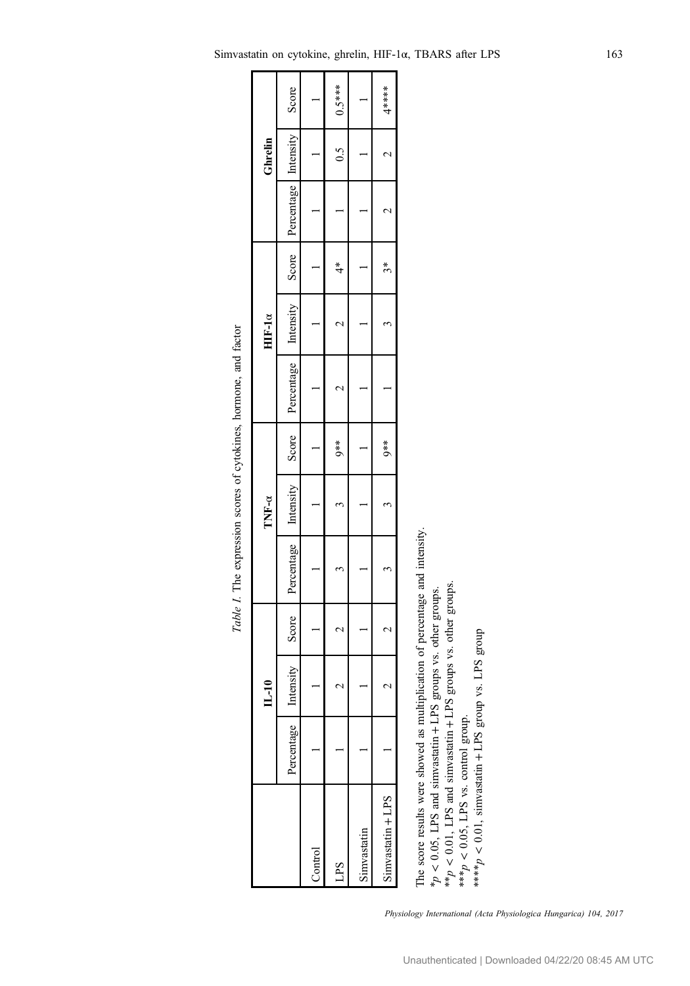<span id="page-5-0"></span>

| Score Percentage Intensity<br>0.5<br>Ghrelin<br>$\frac{*}{4}$<br>$\ddot{4}$<br>Intensity 1<br>$HIF-1\alpha$<br>Score Percentage Intensity Score Percentage<br>$*$<br>$0**$<br>TNF- $\alpha$<br>Intensity<br>$IL-10$<br>Percentage<br>Sinvastatin + LPS<br>Simvastatin<br>Control |  |  |  |  |  |  |          |
|----------------------------------------------------------------------------------------------------------------------------------------------------------------------------------------------------------------------------------------------------------------------------------|--|--|--|--|--|--|----------|
|                                                                                                                                                                                                                                                                                  |  |  |  |  |  |  |          |
|                                                                                                                                                                                                                                                                                  |  |  |  |  |  |  | Score    |
|                                                                                                                                                                                                                                                                                  |  |  |  |  |  |  |          |
|                                                                                                                                                                                                                                                                                  |  |  |  |  |  |  | $0.5***$ |
|                                                                                                                                                                                                                                                                                  |  |  |  |  |  |  |          |
|                                                                                                                                                                                                                                                                                  |  |  |  |  |  |  | $4***$   |

Table I. The expression scores of cytokines, hormone, and factor Table I. The expression scores of cytokines, hormone, and factor

The score results were showed as multiplication of percentage and intensity. The score results were showed as multiplication of percentage and intensity. LPS groups vs. other groups. LPS groups vs. other groups. ++ 0.01, LPS and simvastatin 0.05, LPS and simvastatin  $\prec$ v \*<sup>p</sup>

\*\*\*p  $\sim d_{\ast\ast\ast}$  0.05, LPS vs. control group.  $< 0.01$ , simvastatin LPS group vs. LPS group

v

+

Physiology International (Acta Physiologica Hungarica) 104, 2017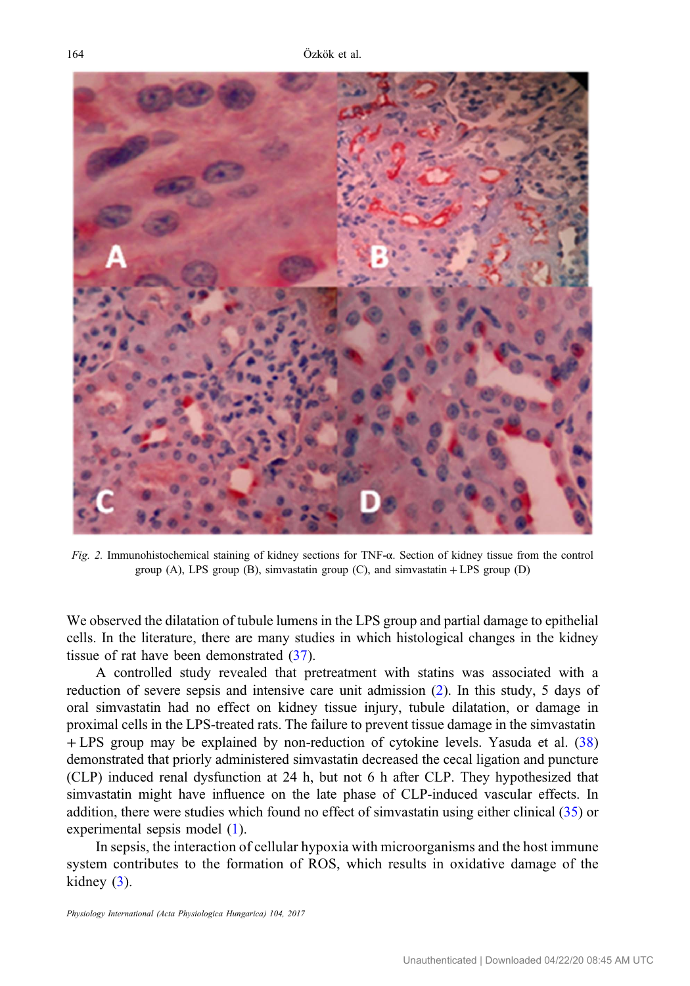<span id="page-6-0"></span>

Fig. 2. Immunohistochemical staining of kidney sections for TNF-α. Section of kidney tissue from the control group (A), LPS group (B), simvastatin group (C), and simvastatin  $+$  LPS group (D)

We observed the dilatation of tubule lumens in the LPS group and partial damage to epithelial cells. In the literature, there are many studies in which histological changes in the kidney tissue of rat have been demonstrated [\(37](#page-12-0)).

A controlled study revealed that pretreatment with statins was associated with a reduction of severe sepsis and intensive care unit admission ([2\)](#page-10-0). In this study, 5 days of oral simvastatin had no effect on kidney tissue injury, tubule dilatation, or damage in proximal cells in the LPS-treated rats. The failure to prevent tissue damage in the simvastatin + LPS group may be explained by non-reduction of cytokine levels. Yasuda et al. ([38\)](#page-12-0) demonstrated that priorly administered simvastatin decreased the cecal ligation and puncture (CLP) induced renal dysfunction at 24 h, but not 6 h after CLP. They hypothesized that simvastatin might have influence on the late phase of CLP-induced vascular effects. In addition, there were studies which found no effect of simvastatin using either clinical [\(35](#page-11-0)) or experimental sepsis model ([1\)](#page-10-0).

In sepsis, the interaction of cellular hypoxia with microorganisms and the host immune system contributes to the formation of ROS, which results in oxidative damage of the kidney  $(3)$  $(3)$ .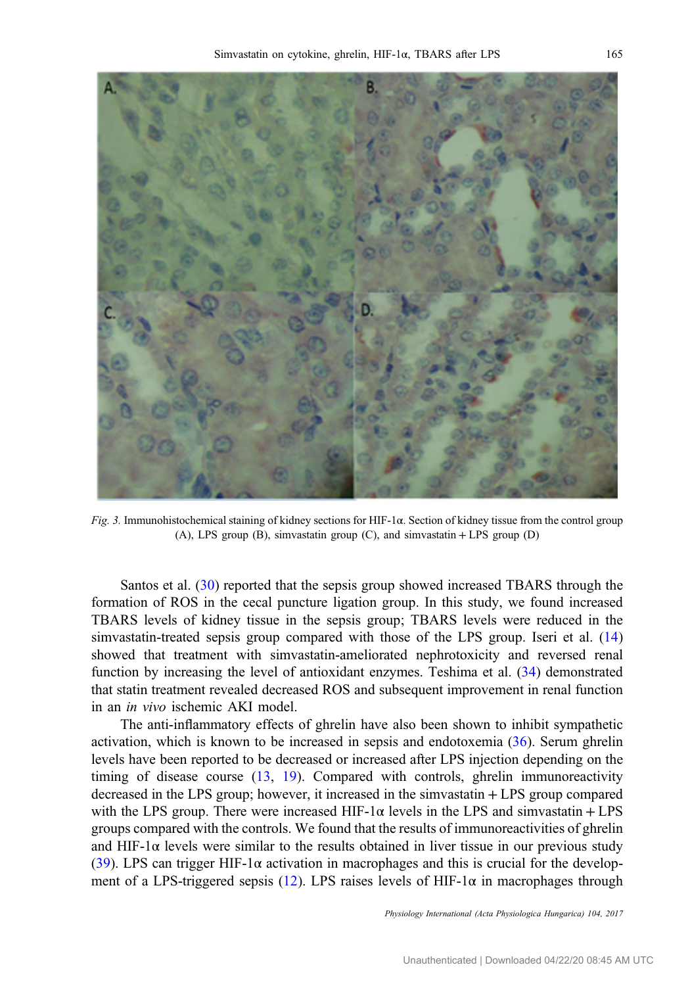<span id="page-7-0"></span>

Fig. 3. Immunohistochemical staining of kidney sections for HIF-1 $\alpha$ . Section of kidney tissue from the control group (A), LPS group (B), simvastatin group (C), and simvastatin + LPS group (D)

Santos et al. [\(30](#page-11-0)) reported that the sepsis group showed increased TBARS through the formation of ROS in the cecal puncture ligation group. In this study, we found increased TBARS levels of kidney tissue in the sepsis group; TBARS levels were reduced in the simvastatin-treated sepsis group compared with those of the LPS group. Iseri et al. ([14\)](#page-11-0) showed that treatment with simvastatin-ameliorated nephrotoxicity and reversed renal function by increasing the level of antioxidant enzymes. Teshima et al. ([34\)](#page-11-0) demonstrated that statin treatment revealed decreased ROS and subsequent improvement in renal function in an in vivo ischemic AKI model.

The anti-inflammatory effects of ghrelin have also been shown to inhibit sympathetic activation, which is known to be increased in sepsis and endotoxemia ([36\)](#page-12-0). Serum ghrelin levels have been reported to be decreased or increased after LPS injection depending on the timing of disease course ([13,](#page-11-0) [19\)](#page-11-0). Compared with controls, ghrelin immunoreactivity decreased in the LPS group; however, it increased in the simvastatin + LPS group compared with the LPS group. There were increased HIF-1 $\alpha$  levels in the LPS and simvastatin + LPS groups compared with the controls. We found that the results of immunoreactivities of ghrelin and HIF-1 $\alpha$  levels were similar to the results obtained in liver tissue in our previous study [\(39](#page-12-0)). LPS can trigger HIF-1 $\alpha$  activation in macrophages and this is crucial for the develop-ment of a LPS-triggered sepsis [\(12](#page-11-0)). LPS raises levels of HIF-1 $\alpha$  in macrophages through

Physiology International (Acta Physiologica Hungarica) 104, 2017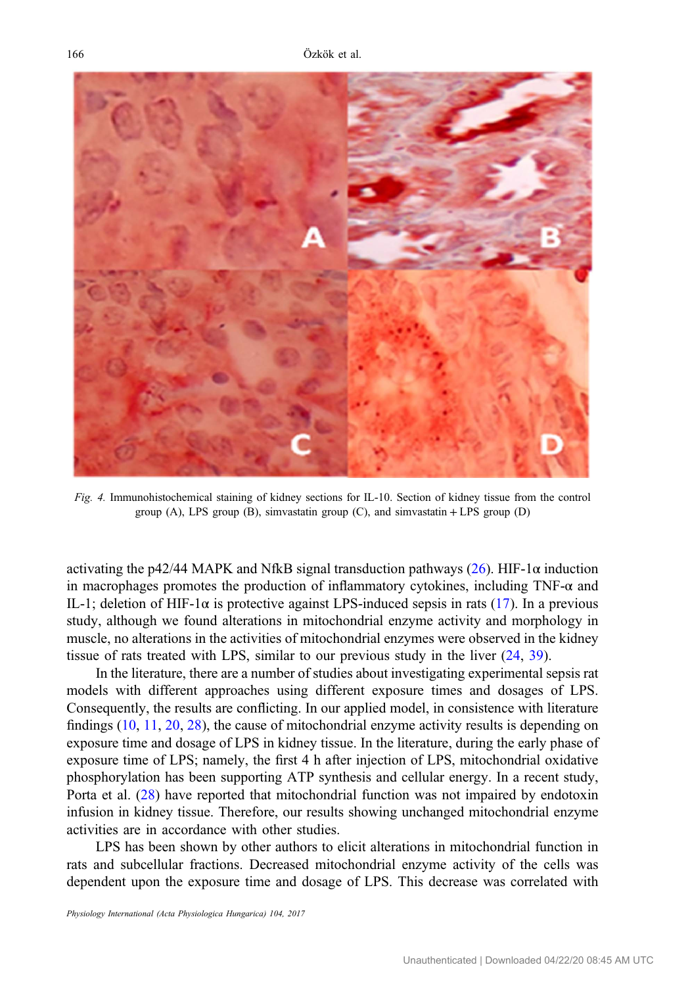<span id="page-8-0"></span>

Fig. 4. Immunohistochemical staining of kidney sections for IL-10. Section of kidney tissue from the control group (A), LPS group (B), simvastatin group (C), and simvastatin + LPS group (D)

activating the p42/44 MAPK and NfkB signal transduction pathways [\(26](#page-11-0)). HIF-1 $\alpha$  induction in macrophages promotes the production of inflammatory cytokines, including TNF-α and IL-1; deletion of HIF-1 $\alpha$  is protective against LPS-induced sepsis in rats ([17\)](#page-11-0). In a previous study, although we found alterations in mitochondrial enzyme activity and morphology in muscle, no alterations in the activities of mitochondrial enzymes were observed in the kidney tissue of rats treated with LPS, similar to our previous study in the liver [\(24](#page-11-0), [39](#page-12-0)).

In the literature, there are a number of studies about investigating experimental sepsis rat models with different approaches using different exposure times and dosages of LPS. Consequently, the results are conflicting. In our applied model, in consistence with literature findings ([10,](#page-10-0) [11](#page-11-0), [20](#page-11-0), [28](#page-11-0)), the cause of mitochondrial enzyme activity results is depending on exposure time and dosage of LPS in kidney tissue. In the literature, during the early phase of exposure time of LPS; namely, the first 4 h after injection of LPS, mitochondrial oxidative phosphorylation has been supporting ATP synthesis and cellular energy. In a recent study, Porta et al. [\(28](#page-11-0)) have reported that mitochondrial function was not impaired by endotoxin infusion in kidney tissue. Therefore, our results showing unchanged mitochondrial enzyme activities are in accordance with other studies.

LPS has been shown by other authors to elicit alterations in mitochondrial function in rats and subcellular fractions. Decreased mitochondrial enzyme activity of the cells was dependent upon the exposure time and dosage of LPS. This decrease was correlated with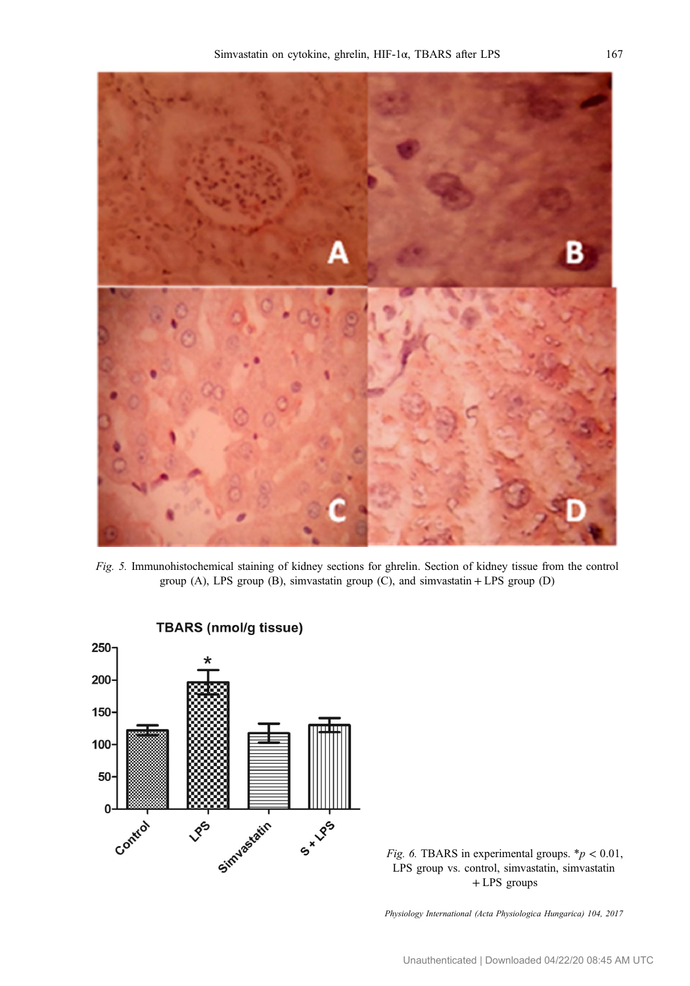<span id="page-9-0"></span>

Fig. 5. Immunohistochemical staining of kidney sections for ghrelin. Section of kidney tissue from the control group (A), LPS group (B), simvastatin group (C), and simvastatin + LPS group (D)



**TBARS (nmol/g tissue)** 

Fig. 6. TBARS in experimental groups.  $* p < 0.01$ , LPS group vs. control, simvastatin, simvastatin + LPS groups

Physiology International (Acta Physiologica Hungarica) 104, 2017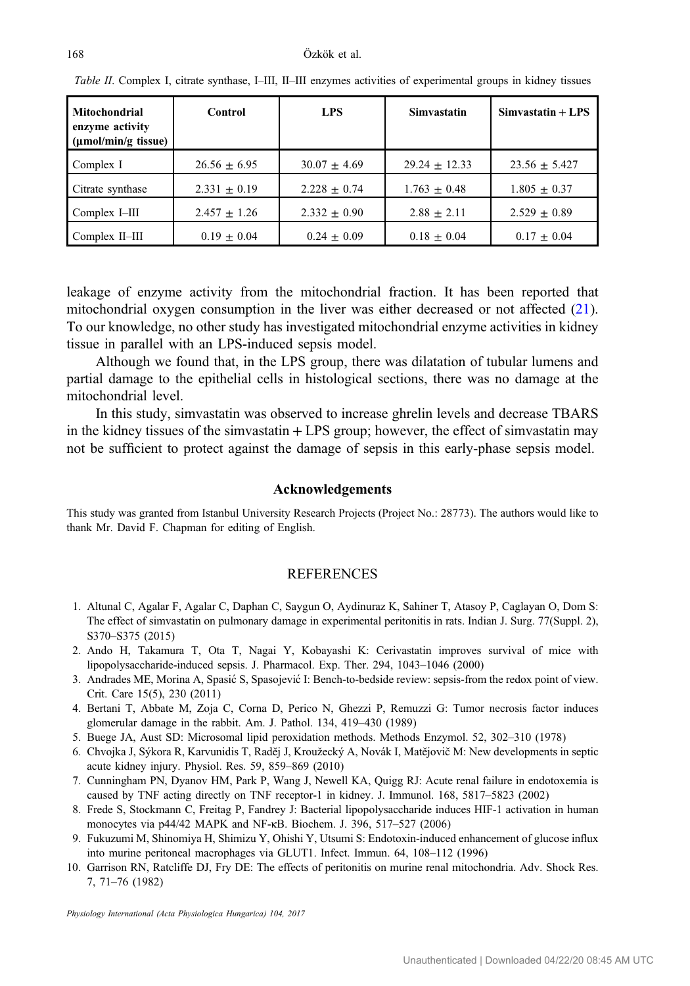| Mitochondrial<br>enzyme activity<br>(µmol/min/g tissue) | Control          | <b>LPS</b>       | <b>Simvastatin</b> | $Simvastatin + LPS$ |
|---------------------------------------------------------|------------------|------------------|--------------------|---------------------|
| Complex I                                               | $26.56 \pm 6.95$ | $30.07 \pm 4.69$ | $29.24 + 12.33$    | $23.56 + 5.427$     |
| Citrate synthase                                        | $2.331 + 0.19$   | $2.228 + 0.74$   | $1.763 \pm 0.48$   | $1.805 \pm 0.37$    |
| Complex I-III                                           | $2.457 + 1.26$   | $2.332 + 0.90$   | $2.88 + 2.11$      | $2.529 + 0.89$      |
| Complex II-III                                          | $0.19 \pm 0.04$  | $0.24 + 0.09$    | $0.18 \pm 0.04$    | $0.17 \pm 0.04$     |

<span id="page-10-0"></span>Table II. Complex I, citrate synthase, I–III, II–III enzymes activities of experimental groups in kidney tissues

leakage of enzyme activity from the mitochondrial fraction. It has been reported that mitochondrial oxygen consumption in the liver was either decreased or not affected [\(21](#page-11-0)). To our knowledge, no other study has investigated mitochondrial enzyme activities in kidney tissue in parallel with an LPS-induced sepsis model.

Although we found that, in the LPS group, there was dilatation of tubular lumens and partial damage to the epithelial cells in histological sections, there was no damage at the mitochondrial level.

In this study, simvastatin was observed to increase ghrelin levels and decrease TBARS in the kidney tissues of the simvastatin + LPS group; however, the effect of simvastatin may not be sufficient to protect against the damage of sepsis in this early-phase sepsis model.

#### Acknowledgements

This study was granted from Istanbul University Research Projects (Project No.: 28773). The authors would like to thank Mr. David F. Chapman for editing of English.

#### **REFERENCES**

- 1. Altunal C, Agalar F, Agalar C, Daphan C, Saygun O, Aydinuraz K, Sahiner T, Atasoy P, Caglayan O, Dom S: The effect of simvastatin on pulmonary damage in experimental peritonitis in rats. Indian J. Surg. 77(Suppl. 2), S370–S375 (2015)
- 2. Ando H, Takamura T, Ota T, Nagai Y, Kobayashi K: Cerivastatin improves survival of mice with lipopolysaccharide-induced sepsis. J. Pharmacol. Exp. Ther. 294, 1043–1046 (2000)
- 3. Andrades ME, Morina A, Spasić S, Spasojević I: Bench-to-bedside review: sepsis-from the redox point of view. Crit. Care 15(5), 230 (2011)
- 4. Bertani T, Abbate M, Zoja C, Corna D, Perico N, Ghezzi P, Remuzzi G: Tumor necrosis factor induces glomerular damage in the rabbit. Am. J. Pathol. 134, 419–430 (1989)
- 5. Buege JA, Aust SD: Microsomal lipid peroxidation methods. Methods Enzymol. 52, 302–310 (1978)
- 6. Chvojka J, Sýkora R, Karvunidis T, Raděj J, Kroužecký A, Novák I, Matějovič M: New developments in septic acute kidney injury. Physiol. Res. 59, 859–869 (2010)
- 7. Cunningham PN, Dyanov HM, Park P, Wang J, Newell KA, Quigg RJ: Acute renal failure in endotoxemia is caused by TNF acting directly on TNF receptor-1 in kidney. J. Immunol. 168, 5817–5823 (2002)
- 8. Frede S, Stockmann C, Freitag P, Fandrey J: Bacterial lipopolysaccharide induces HIF-1 activation in human monocytes via p44/42 MAPK and NF-κB. Biochem. J. 396, 517–527 (2006)
- 9. Fukuzumi M, Shinomiya H, Shimizu Y, Ohishi Y, Utsumi S: Endotoxin-induced enhancement of glucose influx into murine peritoneal macrophages via GLUT1. Infect. Immun. 64, 108–112 (1996)
- 10. Garrison RN, Ratcliffe DJ, Fry DE: The effects of peritonitis on murine renal mitochondria. Adv. Shock Res. 7, 71–76 (1982)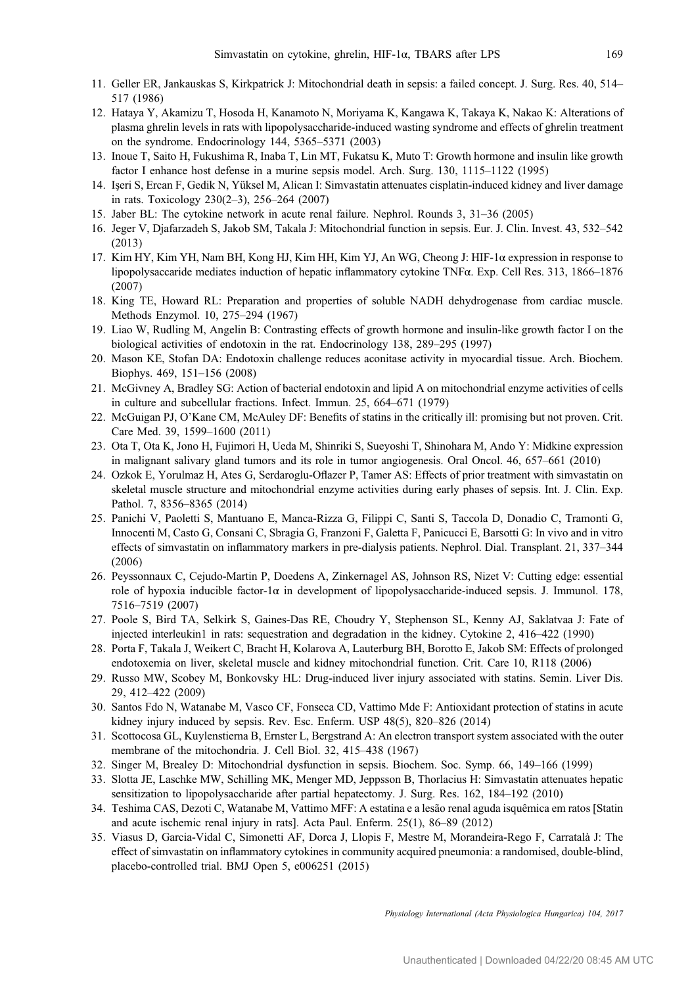- <span id="page-11-0"></span>11. Geller ER, Jankauskas S, Kirkpatrick J: Mitochondrial death in sepsis: a failed concept. J. Surg. Res. 40, 514– 517 (1986)
- 12. Hataya Y, Akamizu T, Hosoda H, Kanamoto N, Moriyama K, Kangawa K, Takaya K, Nakao K: Alterations of plasma ghrelin levels in rats with lipopolysaccharide-induced wasting syndrome and effects of ghrelin treatment on the syndrome. Endocrinology 144, 5365–5371 (2003)
- 13. Inoue T, Saito H, Fukushima R, Inaba T, Lin MT, Fukatsu K, Muto T: Growth hormone and insulin like growth factor I enhance host defense in a murine sepsis model. Arch. Surg. 130, 1115–1122 (1995)
- 14. Işeri S, Ercan F, Gedik N, Yüksel M, Alican I: Simvastatin attenuates cisplatin-induced kidney and liver damage in rats. Toxicology 230(2–3), 256–264 (2007)
- 15. Jaber BL: The cytokine network in acute renal failure. Nephrol. Rounds 3, 31–36 (2005)
- 16. Jeger V, Djafarzadeh S, Jakob SM, Takala J: Mitochondrial function in sepsis. Eur. J. Clin. Invest. 43, 532–542 (2013)
- 17. Kim HY, Kim YH, Nam BH, Kong HJ, Kim HH, Kim YJ, An WG, Cheong J: HIF-1α expression in response to lipopolysaccaride mediates induction of hepatic inflammatory cytokine TNFα. Exp. Cell Res. 313, 1866–1876 (2007)
- 18. King TE, Howard RL: Preparation and properties of soluble NADH dehydrogenase from cardiac muscle. Methods Enzymol. 10, 275–294 (1967)
- 19. Liao W, Rudling M, Angelin B: Contrasting effects of growth hormone and insulin-like growth factor I on the biological activities of endotoxin in the rat. Endocrinology 138, 289–295 (1997)
- 20. Mason KE, Stofan DA: Endotoxin challenge reduces aconitase activity in myocardial tissue. Arch. Biochem. Biophys. 469, 151–156 (2008)
- 21. McGivney A, Bradley SG: Action of bacterial endotoxin and lipid A on mitochondrial enzyme activities of cells in culture and subcellular fractions. Infect. Immun. 25, 664–671 (1979)
- 22. McGuigan PJ, O'Kane CM, McAuley DF: Benefits of statins in the critically ill: promising but not proven. Crit. Care Med. 39, 1599–1600 (2011)
- 23. Ota T, Ota K, Jono H, Fujimori H, Ueda M, Shinriki S, Sueyoshi T, Shinohara M, Ando Y: Midkine expression in malignant salivary gland tumors and its role in tumor angiogenesis. Oral Oncol. 46, 657–661 (2010)
- 24. Ozkok E, Yorulmaz H, Ates G, Serdaroglu-Oflazer P, Tamer AS: Effects of prior treatment with simvastatin on skeletal muscle structure and mitochondrial enzyme activities during early phases of sepsis. Int. J. Clin. Exp. Pathol. 7, 8356–8365 (2014)
- 25. Panichi V, Paoletti S, Mantuano E, Manca-Rizza G, Filippi C, Santi S, Taccola D, Donadio C, Tramonti G, Innocenti M, Casto G, Consani C, Sbragia G, Franzoni F, Galetta F, Panicucci E, Barsotti G: In vivo and in vitro effects of simvastatin on inflammatory markers in pre-dialysis patients. Nephrol. Dial. Transplant. 21, 337–344 (2006)
- 26. Peyssonnaux C, Cejudo-Martin P, Doedens A, Zinkernagel AS, Johnson RS, Nizet V: Cutting edge: essential role of hypoxia inducible factor-1α in development of lipopolysaccharide-induced sepsis. J. Immunol. 178, 7516–7519 (2007)
- 27. Poole S, Bird TA, Selkirk S, Gaines-Das RE, Choudry Y, Stephenson SL, Kenny AJ, Saklatvaa J: Fate of injected interleukin1 in rats: sequestration and degradation in the kidney. Cytokine 2, 416–422 (1990)
- 28. Porta F, Takala J, Weikert C, Bracht H, Kolarova A, Lauterburg BH, Borotto E, Jakob SM: Effects of prolonged endotoxemia on liver, skeletal muscle and kidney mitochondrial function. Crit. Care 10, R118 (2006)
- 29. Russo MW, Scobey M, Bonkovsky HL: Drug-induced liver injury associated with statins. Semin. Liver Dis. 29, 412–422 (2009)
- 30. Santos Fdo N, Watanabe M, Vasco CF, Fonseca CD, Vattimo Mde F: Antioxidant protection of statins in acute kidney injury induced by sepsis. Rev. Esc. Enferm. USP 48(5), 820–826 (2014)
- 31. Scottocosa GL, Kuylenstierna B, Ernster L, Bergstrand A: An electron transport system associated with the outer membrane of the mitochondria. J. Cell Biol. 32, 415–438 (1967)
- 32. Singer M, Brealey D: Mitochondrial dysfunction in sepsis. Biochem. Soc. Symp. 66, 149–166 (1999)
- 33. Slotta JE, Laschke MW, Schilling MK, Menger MD, Jeppsson B, Thorlacius H: Simvastatin attenuates hepatic sensitization to lipopolysaccharide after partial hepatectomy. J. Surg. Res. 162, 184–192 (2010)
- 34. Teshima CAS, Dezoti C, Watanabe M, Vattimo MFF: A estatina e a lesão renal aguda isquêmica em ratos [Statin and acute ischemic renal injury in rats]. Acta Paul. Enferm. 25(1), 86–89 (2012)
- 35. Viasus D, Garcia-Vidal C, Simonetti AF, Dorca J, Llopis F, Mestre M, Morandeira-Rego F, Carratalà J: The effect of simvastatin on inflammatory cytokines in community acquired pneumonia: a randomised, double-blind, placebo-controlled trial. BMJ Open 5, e006251 (2015)